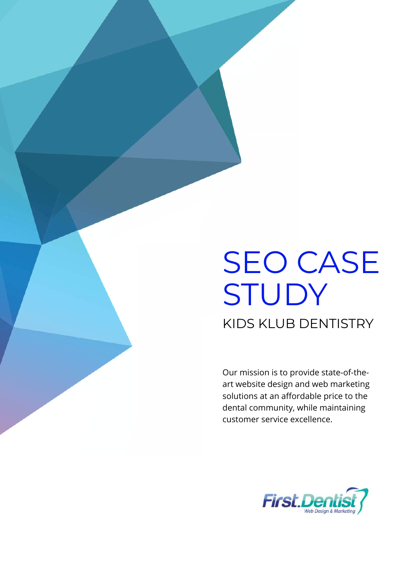# SEO CASE STUDY KIDS KLUB DENTISTRY

Our mission is to provide state-of-theart website design and web marketing solutions at an affordable price to the dental community, while maintaining customer service excellence.

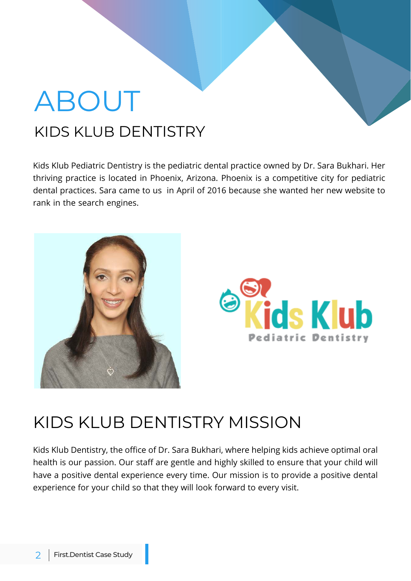# ABOUT KIDS KLUB DENTISTRY

Kids Klub Pediatric Dentistry is the pediatric dental practice owned by Dr. Sara Bukhari. Her thriving practice is located in Phoenix, Arizona. Phoenix is a competitive city for pediatric dental practices. Sara came to us in April of 2016 because she wanted her new website to rank in the search engines.





### KIDS KLUB DENTISTRY MISSION

Kids Klub Dentistry, the office of Dr. Sara Bukhari, where helping kids achieve optimal oral health is our passion. Our staff are gentle and highly skilled to ensure that your child will have a positive dental experience every time. Our mission is to provide a positive dental experience for your child so that they will look forward to every visit.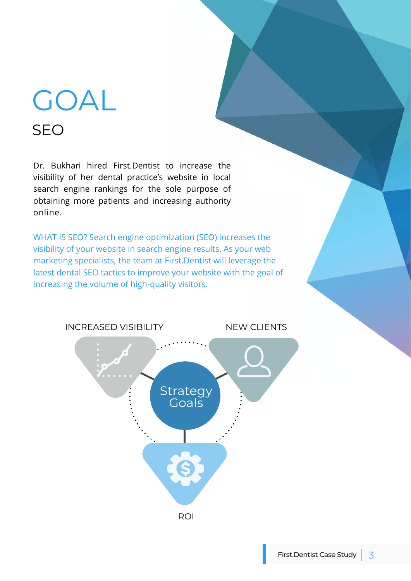# GOAL SEO

Dr. Bukhari hired First.Dentist to increase the visibility of her dental practice's website in local search engine rankings for the sole purpose of obtaining more patients and increasing authority online.

WHAT IS SEO? Search engine optimization (SEO) increases the visibility of your website in search engine results. As your web marketing specialists, the team at First.Dentist will leverage the latest dental SEO tactics to improve your website with the goal of increasing the volume of high-quality visitors.

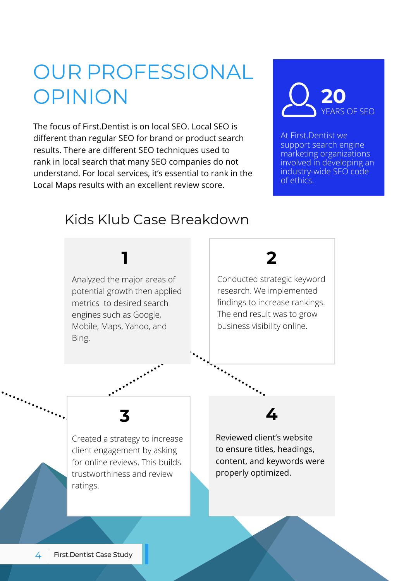## OUR PROFESSIONAL OPINION

The focus of First Dentist is on local SEO. Local SEO is different than regular SEO for brand or product search results. There are different SEO techniques used to rank in local search that many SEO companies do not understand. For local services, it's essential to rank in the Local Maps results with an excellent review score.



At First.Dentist we support search engine marketing organizations involved in developing an industry-wide SEO code of ethics.

#### Kids Klub Case Breakdown

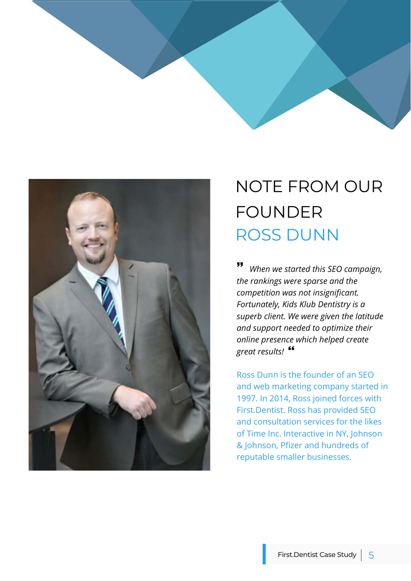



## NOTE FROM OUR FOUNDER ROSS DUNN

 *When we started this SEO campaign, the rankings were sparse and the competition was not insignificant. Fortunately, Kids Klub Dentistry is a superb client. We were given the latitude and support needed to optimize their online presence which helped create great results!* 

Ross Dunn is the founder of an SEO and web marketing company started in 1997. In 2014, Ross joined forces with First.Dentist. Ross has provided SEO and consultation services for the likes of Time Inc. Interactive in NY, Johnson & Johnson, Pfizer and hundreds of reputable smaller businesses.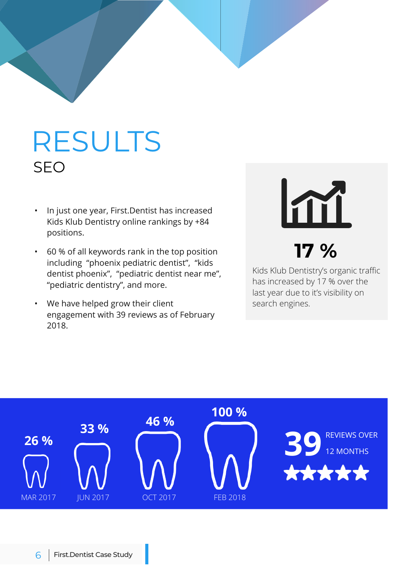# RESULTS SEO

- In just one year, First.Dentist has increased Kids Klub Dentistry online rankings by +84 positions.
- 60 % of all keywords rank in the top position including "phoenix pediatric dentist", "kids dentist phoenix", "pediatric dentist near me", "pediatric dentistry", and more.
- We have helped grow their client engagement with 39 reviews as of February 2018.

# Im **17 %**

Kids Klub Dentistry's organic traffic has increased by 17 % over the last year due to it's visibility on search engines.